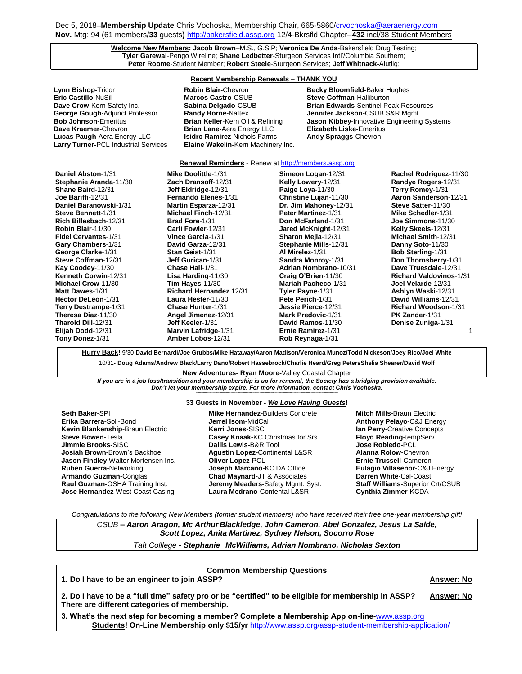Dec 5, 2018-Membership Update Chris Vochoska, Membership Chair, 665-5860[/crvochoska@aeraenergy.com](mailto:crvochoska@aeraenergy.com) **Nov.** Mtg: 94 (61 members**/33** guests**)** [http://bakersfield.assp.org](http://bakersfield.assp.org/) 12/4-Bkrsfld Chapter–**432** incl/38 Student Members

## **Welcome New Members: Jacob Brown**–M.S., G.S.P; **Veronica De Anda**-Bakersfield Drug Testing; **Tyler Garewal**-Pengo Wireline; **Shane Ledbetter**-Sturgeon Services Intl'/Columbia Southern; **Peter Roome**-Student Member; **Robert Steele**-Sturgeon Services; **Jeff Whitnack-**Alutiiq;

# **Recent Membership Renewals – THANK YOU**

**Lynn Bishop-Tricor Robin Blair-Chevron Becky Bloomfield-Baker Hughes Recky Bloomfield-** Baker Hughes **Eric Castillo**-NuSil **Marcos Castro**-CSUB **Steve Coffman**-Halliburton **George Gough-**Adjunct Professor **Randy Horne-**Naftex **Jennifer Jackson-**CSUB S&R Mgmt. **Dave Kraemer-**Chevron **Brian Lane-**Aera Energy LLC **Elizabeth Liske-**Emeritus **Lucas Paugh-**Aera Energy LLC **Isidro Ramirez**-Nichols Farms **Andy Spraggs**-Chevron **Larry Turner-PCL Industrial Services** 

**Dave Crow-**Kern Safety Inc. **Sabina Delgado-**CSUB **Brian Edwards-**Sentinel Peak Resources **Jason Kibbey-Innovative Engineering Systems** 

### **Renewal Reminders** - Renew a[t http://members.assp.org](http://members.assp.org/)

| Daniel Abston-1/31        | Mike Doolittle-1/31            | Simeon Logan-12/31           | Rachel Rodriguez-11/30         |
|---------------------------|--------------------------------|------------------------------|--------------------------------|
| Stephanie Aranda-11/30    | <b>Zach Dransoff-12/31</b>     | <b>Kelly Lowery-12/31</b>    | Randye Rogers-12/31            |
| Shane Baird-12/31         | Jeff Eldridge-12/31            | Paige Loya-11/30             | Terry Romey-1/31               |
| <b>Joe Bariffi</b> -12/31 | Fernando Elenes-1/31           | Christine Lujan-11/30        | Aaron Sanderson-12/31          |
| Daniel Baranowski-1/31    | Martin Esparza-12/31           | Dr. Jim Mahoney-12/31        | Steve Satter-11/30             |
| Steve Bennett-1/31        | Michael Finch-12/31            | <b>Peter Martinez-1/31</b>   | Mike Schedler-1/31             |
| Rich Billesbach-12/31     | <b>Brad Fore-1/31</b>          | Don McFarland-1/31           | <b>Joe Simmons</b> -11/30      |
| Robin Blair-11/30         | Carli Fowler-12/31             | Jared McKnight-12/31         | Kelly Skeels-12/31             |
| Fidel Cervantes-1/31      | Vince Garcia-1/31              | Sharon Mejia-12/31           | <b>Michael Smith-12/31</b>     |
| Gary Chambers-1/31        | David Garza-12/31              | Stephanie Mills-12/31        | Danny Soto-11/30               |
| George Clarke-1/31        | <b>Stan Geist-1/31</b>         | Al Mirelez-1/31              | <b>Bob Sterling-1/31</b>       |
| Steve Coffman-12/31       | <b>Jeff Gurican-1/31</b>       | Sandra Monroy-1/31           | Don Thornsberry-1/31           |
| Kay Coodey-11/30          | Chase Hall-1/31                | <b>Adrian Nombrano-10/31</b> | Dave Truesdale-12/31           |
| Kenneth Corwin-12/31      | Lisa Harding-11/30             | Craig O'Brien-11/30          | <b>Richard Valdovinos-1/31</b> |
| Michael Crow-11/30        | Tim Hayes- $11/30$             | Mariah Pacheco-1/31          | Joel Velarde-12/31             |
| Matt Dawes-1/31           | <b>Richard Hernandez 12/31</b> | Tyler Payne-1/31             | Ashlyn Waski-12/31             |
| Hector DeLeon-1/31        | Laura Hester-11/30             | Pete Perich-1/31             | David Williams-12/31           |
| Terry Destrampe-1/31      | Chase Hunter-1/31              | Jessie Pierce-12/31          | <b>Richard Woodson-1/31</b>    |
| Theresa Diaz-11/30        | Angel Jimenez-12/31            | <b>Mark Predovic-1/31</b>    | <b>PK Zander-1/31</b>          |
| Tharold Dill-12/31        | Jeff Keeler-1/31               | David Ramos-11/30            | Denise Zuniga-1/31             |
| Elijah Dodd-12/31         | <b>Marvin Lafridge-1/31</b>    | Ernie Ramirez-1/31           |                                |
| Tony Donez-1/31           | Amber Lobos-12/31              | Rob Reynaga-1/31             |                                |
|                           |                                |                              |                                |

**Hurry Back!** 9/30-**David Bernardi/Joe Grubbs/Mike Hataway/Aaron Madison/Veronica Munoz/Todd Nickeson/Joey Rico/Joel White**

10/31- **Doug Adams/Andrew Black/Larry Dano/Robert Hassebrock/Charlie Heard/Greg PetersShelia Shearer/David Wolf**

**New Adventures- Ryan Moore-**Valley Coastal Chapter *If you are in a job loss/transition and your membership is up for renewal, the Society has a bridging provision available. Don't let your membership expire. For more information, contact Chris Vochoska.*  **-----------------------------------------------------------------------------------------------------------------------------------------------------------------------**

#### **33 Guests in November -** *We Love Having Guests***!**

**Seth Baker-**SPI **Erika Barrera-**Soli-Bond **Kevin Blankenship-**Braun Electric **Steve Bowen-**Tesla **Jimmie Brooks-**SISC **Josiah Brown-**Brown's Backhoe **Jason Findley-**Walter Mortensen Ins. **Ruben Guerra-**Networking **Armando Guzman-**Conglas **Raul Guzman-**OSHA Training Inst. **Jose Hernandez-**West Coast Casing

#### **Mike Hernandez-**Builders Concrete **Jerrel Isom-**MidCal **Kerri Jones-**SISC **Casey Knaak-**KC Christmas for Srs. **Dallis Lewis-**B&R Tool **Agustin Lopez-**Continental L&SR **Oliver Lopez-**PCL **Joseph Marcano-**KC DA Office **Chad Maynard-**JT & Associates **Jeremy Meaders-**Safety Mgmt. Syst. **Laura Medrano-**Contental L&SR

**Mitch Mills-**Braun Electric **Anthony Pelayo-**C&J Energy **Ian Perry-**Creative Concepts **Floyd Reading-**tempServ **Jose Robledo-**PCL **Alanna Rolow-**Chevron **Ernie Trussell-**Cameron **Eulagio Villasenor-**C&J Energy **Darren White-**Cal-Coast **Staff Williams-**Superior Crt/CSUB **Cynthia Zimmer-**KCDA

*Congratulations to the following New Members (former student members) who have received their free one-year membership gift!*

*CSUB – Aaron Aragon, Mc Arthur Blackledge, John Cameron, Abel Gonzalez, Jesus La Salde, Scott Lopez, Anita Martinez, Sydney Nelson, Socorro Rose*

*Taft Colllege - Stephanie McWilliams, Adrian Nombrano, Nicholas Sexton*

| <b>Common Membership Questions</b>                                                                                                                    |                   |
|-------------------------------------------------------------------------------------------------------------------------------------------------------|-------------------|
| 1. Do I have to be an engineer to join ASSP?                                                                                                          | <b>Answer: No</b> |
| 2. Do I have to be a "full time" safety pro or be "certified" to be eligible for membership in ASSP?<br>There are different categories of membership. | <b>Answer: No</b> |
| 3. What's the next step for becoming a member? Complete a Membership App on-line-www.assp.org                                                         |                   |
| Students! On-Line Membership only \$15/yr http://www.assp.org/assp-student-membership-application/                                                    |                   |

1